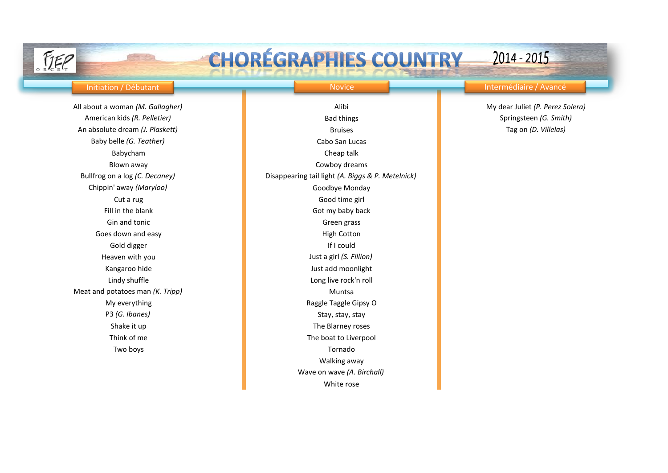

White rose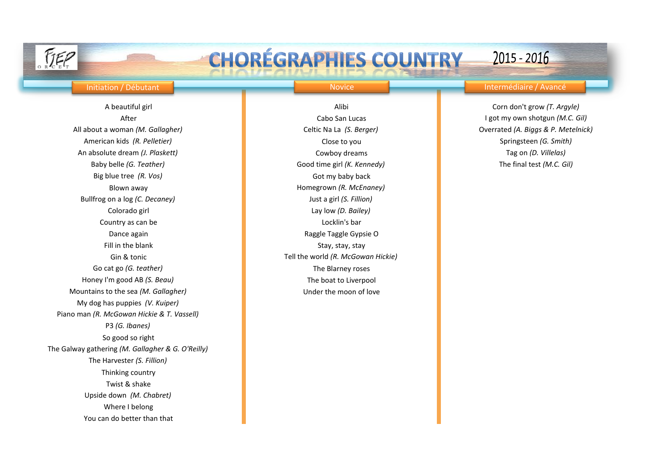## Initiation / Débutant Novice Intermédiaire / Avancé

 $2015 - 2016$ 

All about a woman *(M. Gallagher)* Celtic Na La *(S. Berger)* Overrated *(A. Biggs & P. Metelnick)* American kids *(R. Pelletier)* Close to you Close to you Springsteen *(G. Smith)* Close to you Springsteen *(G. Smith)* An absolute dream *(J. Plaskett)* Cowboy dreams Tag on *(D. Villelas)* Baby belle *(G. Teather)* **Good time girl** *(K. Kennedy)* The final test *(M.C. Gil)* The final test *(M.C. Gil)* Big blue tree (R. Vos) **Constanting the Constantine Constanting Constanting Constanting Constanting Constanting Constanting Constanting Constanting Constanting Constanting Constanting Constanting Constanting Constanting Co** Bullfrog on a log *(C. Decaney)* Just a girl *(S. Fillion)* Colorado girl Lay low *(D. Bailey)* **Country as can be Locklin's bar Locklin's bar** Dance again **Raggle Taggle Gypsie O** and Raggle Taggle Gypsie O Fill in the blank Stay, stay, stay, stay, stay, stay, stay, stay, stay, stay, stay Go cat go *(G. teather)* The Blarney roses Honey I'm good AB *(S. Beau)* The boat to Liverpool Mountains to the sea *(M. Gallagher)* Under the moon of love My dog has puppies *(V. Kuiper)* Piano man *(R. McGowan Hickie & T. Vassell)* P3 *(G. Ibanes)* So good so right The Galway gathering *(M. Gallagher & G. O'Reilly)* The Harvester *(S. Fillion)* Thinking country Twist & shake Upside down *(M. Chabret)* Where I belong You can do better than that

After Cabo San Lucas I got my own shotgun *(M.C. Gil)* Blown away **Example 2018** Homegrown *(R. McEnaney)* Gin & tonic **Tell the world** *(R. McGowan Hickie)* Tell the world *(R. McGowan Hickie)* 

A beautiful girl **Alibi** Corn don't grow *(T. Argyle)* Alibi Corn don't grow *(T. Argyle)*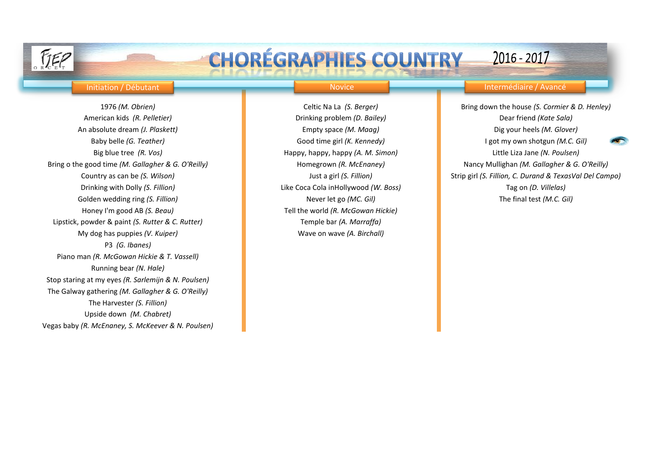## Initiation / Débutant Novice Intermédiaire / Avancé

 $2016 - 2017$ 

American kids *(R. Pelletier)* **Drinking problem** *(D. Bailey)* Dear friend *(Kate Sala)* An absolute dream *(J. Plaskett)* Empty space *(M. Maag)* Dig your heels *(M. Glover)* Bring o the good time *(M. Gallagher & G. O'Reilly)* Homegrown *(R. McEnaney)* Nancy Mullighan *(M. Gallagher & G. O'Reilly)* Drinking with Dolly *(S. Fillion)* Like Coca Cola inHollywood *(W. Boss)* Tag on *(D. Villelas)* Golden wedding ring *(S. Fillion)* Never let go *(MC. Gil)* Never let go *(MC. Gil)* The final test *(M.C. Gil)* Honey I'm good AB *(S. Beau)* Tell the world *(R. McGowan Hickie)* Lipstick, powder & paint *(S. Rutter & C. Rutter)* Temple bar *(A. Marraffa)* My dog has puppies *(V. Kuiper)* Wave on wave *(A. Birchall)* P3 *(G. Ibanes)* Piano man *(R. McGowan Hickie & T. Vassell)* Running bear *(N. Hale)* Stop staring at my eyes *(R. Sarlemijn & N. Poulsen)* The Galway gathering *(M. Gallagher & G. O'Reilly)* The Harvester *(S. Fillion)* Upside down *(M. Chabret)* Vegas baby *(R. McEnaney, S. McKeever & N. Poulsen)*

1976 *(M. Obrien)* Celtic Na La *(S. Berger)* Bring down the house *(S. Cormier & D. Henley)* Baby belle *(G. Teather)* **Good time girl** *(K. Kennedy)* I got my own shotgun *(M.C. Gil)* Big blue tree *(R. Vos)* **Happy, happy, happy** (A. M. Simon) Little Liza Jane *(N. Poulsen)* Little Liza Jane *(N. Poulsen)* Country as can be *(S. Wilson)* Just a girl *(S. Fillion)* Strip girl *(S. Fillion, C. Durand & TexasVal Del Campo)*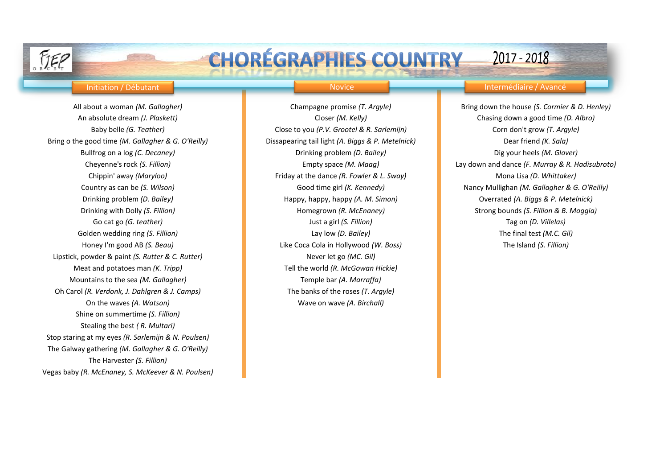Bring o the good time *(M. Gallagher & G. O'Reilly)* Dissapearing tail light *(A. Biggs & P. Metelnick)* Dear friend *(K. Sala)* Lipstick, powder & paint *(S. Rutter & C. Rutter)* Never let go *(MC. Gil)* Meat and potatoes man *(K. Tripp)* Tell the world *(R. McGowan Hickie)* Mountains to the sea *(M. Gallagher)* Temple bar *(A. Marraffa)* Oh Carol *(R. Verdonk, J. Dahlgren & J. Camps)* The banks of the roses *(T. Argyle)* On the waves *(A. Watson)* Wave on wave *(A. Birchall)* Shine on summertime *(S. Fillion)* Stealing the best *( R. Multari)* Stop staring at my eyes *(R. Sarlemijn & N. Poulsen)* The Galway gathering *(M. Gallagher & G. O'Reilly)* The Harvester *(S. Fillion)* Vegas baby *(R. McEnaney, S. McKeever & N. Poulsen)*

Baby belle *(G. Teather)* Close to you *(P.V. Grootel & R. Sarlemijn)* Corn don't grow *(T. Argyle)* Bullfrog on a log *(C. Decaney)* Drinking problem *(D. Bailey)* Dig your heels *(M. Glover)* Chippin' away *(Maryloo)* Friday at the dance *(R. Fowler & L. Sway)* Mona Lisa *(D. Whittaker)* Go cat go *(G. teather)* Just a girl *(S. Fillion)* Tag on *(D. Villelas)* Golden wedding ring *(S. Fillion)* Lay low *(D. Bailey)* The final test *(M.C. Gil)* Honey I'm good AB *(S. Beau)* Like Coca Cola in Hollywood *(W. Boss)* The Island *(S. Fillion)*

## Initiation / Débutant Novice Intermédiaire / Avancé

2017 - 2018

All about a woman *(M. Gallagher)* Champagne promise *(T. Argyle)* Bring down the house *(S. Cormier & D. Henley)* An absolute dream *(J. Plaskett)* Closer *(M. Kelly)* Chasing down a good time *(D. Albro)* Cheyenne's rock *(S. Fillion)* Empty space *(M. Maag)* Lay down and dance *(F. Murray & R. Hadisubroto)* Country as can be *(S. Wilson)* Good time girl *(K. Kennedy)* Nancy Mullighan *(M. Gallagher & G. O'Reilly)* Drinking problem *(D. Bailey)* Happy, happy, happy *(A. M. Simon)* Overrated *(A. Biggs & P. Metelnick)* Drinking with Dolly *(S. Fillion)* Homegrown *(R. McEnaney)* Strong bounds *(S. Fillion & B. Moggia)*